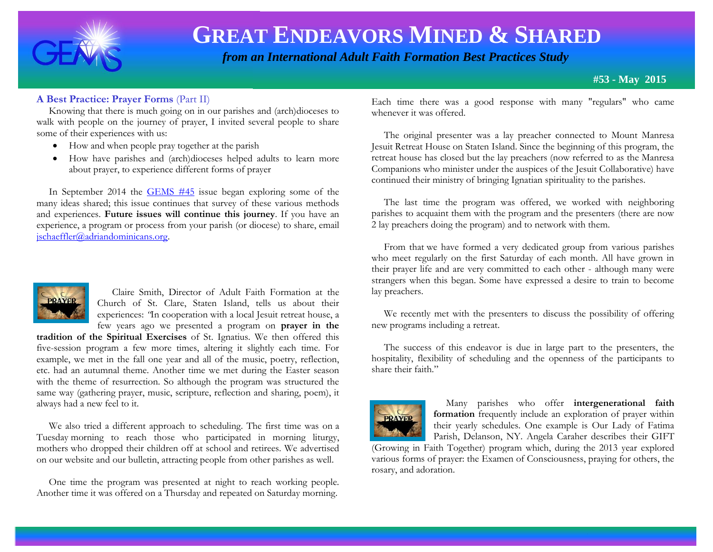

 *from an International Adult Faith Formation Best Practices Study*

**#53 - May 2015**

#### **A Best Practice: Prayer Forms** (Part II)

 Knowing that there is much going on in our parishes and (arch)dioceses to walk with people on the journey of prayer, I invited several people to share some of their experiences with us:

- How and when people pray together at the parish
- How have parishes and (arch)dioceses helped adults to learn more about prayer, to experience different forms of prayer

 In September 2014 the [GEMS #45](http://www.janetschaeffler.com/GEMS__45.pdf) issue began exploring some of the many ideas shared; this issue continues that survey of these various methods and experiences. **Future issues will continue this journey**. If you have an experience, a program or process from your parish (or diocese) to share, email [jschaeffler@adriandominicans.org.](mailto:jschaeffler@adriandominicans.org)



 Claire Smith, Director of Adult Faith Formation at the Church of St. Clare, Staten Island, tells us about their experiences: *"*In cooperation with a local Jesuit retreat house, a few years ago we presented a program on **prayer in the** 

**tradition of the Spiritual Exercises** of St. Ignatius. We then offered this five-session program a few more times, altering it slightly each time. For example, we met in the fall one year and all of the music, poetry, reflection, etc. had an autumnal theme. Another time we met during the Easter season with the theme of resurrection. So although the program was structured the same way (gathering prayer, music, scripture, reflection and sharing, poem), it always had a new feel to it.

 We also tried a different approach to scheduling. The first time was on a Tuesday morning to reach those who participated in morning liturgy, mothers who dropped their children off at school and retirees. We advertised on our website and our bulletin, attracting people from other parishes as well.

 One time the program was presented at night to reach working people. Another time it was offered on a Thursday and repeated on Saturday morning.

Each time there was a good response with many "regulars" who came whenever it was offered.

 The original presenter was a lay preacher connected to Mount Manresa Jesuit Retreat House on Staten Island. Since the beginning of this program, the retreat house has closed but the lay preachers (now referred to as the Manresa Companions who minister under the auspices of the Jesuit Collaborative) have continued their ministry of bringing Ignatian spirituality to the parishes.

 The last time the program was offered, we worked with neighboring parishes to acquaint them with the program and the presenters (there are now 2 lay preachers doing the program) and to network with them.

 From that we have formed a very dedicated group from various parishes who meet regularly on the first Saturday of each month. All have grown in their prayer life and are very committed to each other - although many were strangers when this began. Some have expressed a desire to train to become lay preachers.

 We recently met with the presenters to discuss the possibility of offering new programs including a retreat.

 The success of this endeavor is due in large part to the presenters, the hospitality, flexibility of scheduling and the openness of the participants to share their faith."



 Many parishes who offer **intergenerational faith formation** frequently include an exploration of prayer within their yearly schedules. One example is Our Lady of Fatima Parish, Delanson, NY. Angela Caraher describes their GIFT

(Growing in Faith Together) program which, during the 2013 year explored various forms of prayer: the Examen of Consciousness, praying for others, the rosary, and adoration.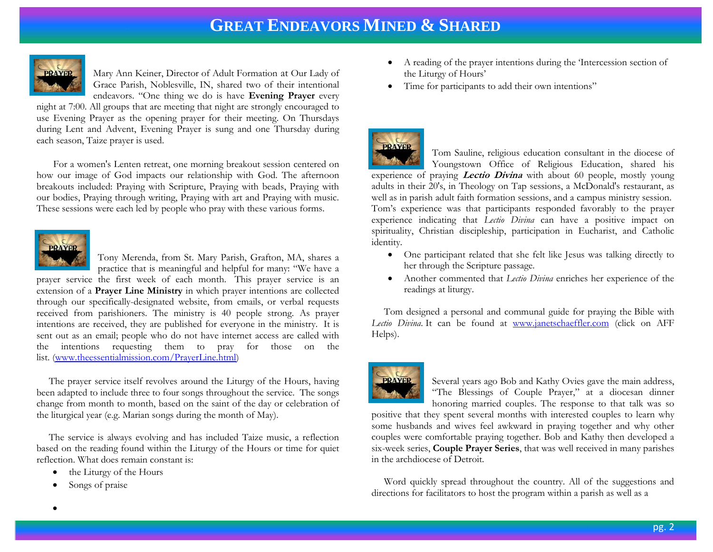

Mary Ann Keiner, Director of Adult Formation at Our Lady of Grace Parish, Noblesville, IN, shared two of their intentional endeavors. "One thing we do is have **Evening Prayer** every night at 7:00. All groups that are meeting that night are strongly encouraged to

use Evening Prayer as the opening prayer for their meeting. On Thursdays during Lent and Advent, Evening Prayer is sung and one Thursday during each season, Taize prayer is used.

 For a women's Lenten retreat, one morning breakout session centered on how our image of God impacts our relationship with God. The afternoon breakouts included: Praying with Scripture, Praying with beads, Praying with our bodies, Praying through writing, Praying with art and Praying with music. These sessions were each led by people who pray with these various forms.



Tony Merenda, from St. Mary Parish, Grafton, MA, shares a practice that is meaningful and helpful for many: "We have a prayer service the first week of each month. This prayer service is an

extension of a **Prayer Line Ministry** in which prayer intentions are collected through our specifically-designated website, from emails, or verbal requests received from parishioners. The ministry is 40 people strong. As prayer intentions are received, they are published for everyone in the ministry. It is sent out as an email; people who do not have internet access are called with the intentions requesting them to pray for those on the list. [\(www.theessentialmission.com/PrayerLine.html\)](http://www.theessentialmission.com/PrayerLine.html)

 The prayer service itself revolves around the Liturgy of the Hours, having been adapted to include three to four songs throughout the service. The songs change from month to month, based on the saint of the day or celebration of the liturgical year (e.g. Marian songs during the month of May).

 The service is always evolving and has included Taize music, a reflection based on the reading found within the Liturgy of the Hours or time for quiet reflection. What does remain constant is:

- the Liturgy of the Hours
- Songs of praise
- A reading of the prayer intentions during the 'Intercession section of the Liturgy of Hours'
- Time for participants to add their own intentions"



Tom Sauline, religious education consultant in the diocese of Youngstown Office of Religious Education, shared his experience of praying **Lectio Divina** with about 60 people, mostly young adults in their 20's, in Theology on Tap sessions, a McDonald's restaurant, as well as in parish adult faith formation sessions, and a campus ministry session. Tom's experience was that participants responded favorably to the prayer experience indicating that *Lectio Divina* can have a positive impact on spirituality, Christian discipleship, participation in Eucharist, and Catholic identity.

- One participant related that she felt like Jesus was talking directly to her through the Scripture passage.
- Another commented that *Lectio Divina* enriches her experience of the readings at liturgy.

 Tom designed a personal and communal guide for praying the Bible with Lectio Divina. It can be found at [www.janetschaeffler.com](http://www.janetschaeffler.com/) (click on AFF Helps).



Several years ago Bob and Kathy Ovies gave the main address, "The Blessings of Couple Prayer," at a diocesan dinner honoring married couples. The response to that talk was so

positive that they spent several months with interested couples to learn why some husbands and wives feel awkward in praying together and why other couples were comfortable praying together. Bob and Kathy then developed a six-week series, **Couple Prayer Series**, that was well received in many parishes in the archdiocese of Detroit.

 Word quickly spread throughout the country. All of the suggestions and directions for facilitators to host the program within a parish as well as a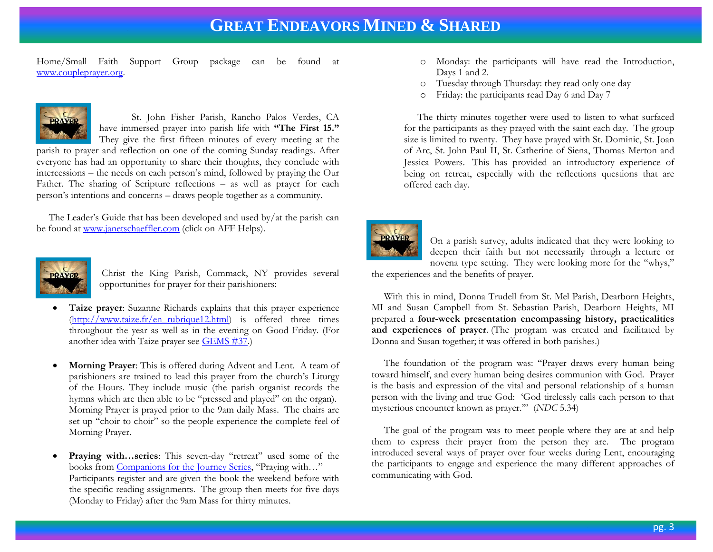Home/Small Faith Support Group package can be found at [www.coupleprayer.org.](http://www.coupleprayer.org/)



St. John Fisher Parish, Rancho Palos Verdes, CA have immersed prayer into parish life with **"The First 15."** They give the first fifteen minutes of every meeting at the

parish to prayer and reflection on one of the coming Sunday readings. After everyone has had an opportunity to share their thoughts, they conclude with intercessions – the needs on each person's mind, followed by praying the Our Father. The sharing of Scripture reflections – as well as prayer for each person's intentions and concerns – draws people together as a community.

 The Leader's Guide that has been developed and used by/at the parish can be found at [www.janetschaeffler.com](http://www.janetschaeffler.com/) (click on AFF Helps).



Christ the King Parish, Commack, NY provides several opportunities for prayer for their parishioners:

- **Taize prayer**: Suzanne Richards explains that this prayer experience [\(http://www.taize.fr/en\\_rubrique12.html\)](http://www.taize.fr/en_rubrique12.html) is offered three times throughout the year as well as in the evening on Good Friday. (For another idea with Taize prayer see [GEMS #37.](http://www.janetschaeffler.com/GEMS__37_stations_of_the_cross.pdf))
- **Morning Prayer**: This is offered during Advent and Lent. A team of parishioners are trained to lead this prayer from the church's Liturgy of the Hours. They include music (the parish organist records the hymns which are then able to be "pressed and played" on the organ). Morning Prayer is prayed prior to the 9am daily Mass. The chairs are set up "choir to choir" so the people experience the complete feel of Morning Prayer.
- Praying with...series: This seven-day "retreat" used some of the books from [Companions for the Journey Series](http://www.amazon.com/s/ref=nb_sb_ss_i_0_19?url=search-alias%3Dstripbooks&field-keywords=companions+for+the+journey+series&sprefix=companions+for+the+%2Cstripbooks%2C232), "Praying with…" Participants register and are given the book the weekend before with the specific reading assignments. The group then meets for five days (Monday to Friday) after the 9am Mass for thirty minutes.
- o Monday: the participants will have read the Introduction, Days 1 and 2.
- o Tuesday through Thursday: they read only one day
- Friday: the participants read Day 6 and Day 7

The thirty minutes together were used to listen to what surfaced for the participants as they prayed with the saint each day. The group size is limited to twenty. They have prayed with St. Dominic, St. Joan of Arc, St. John Paul II, St. Catherine of Siena, Thomas Merton and Jessica Powers. This has provided an introductory experience of being on retreat, especially with the reflections questions that are offered each day.



On a parish survey, adults indicated that they were looking to deepen their faith but not necessarily through a lecture or novena type setting. They were looking more for the "whys," the experiences and the benefits of prayer.

 With this in mind, Donna Trudell from St. Mel Parish, Dearborn Heights, MI and Susan Campbell from St. Sebastian Parish, Dearborn Heights, MI prepared a **four-week presentation encompassing history, practicalities and experiences of prayer**. (The program was created and facilitated by Donna and Susan together; it was offered in both parishes.)

 The foundation of the program was: "Prayer draws every human being toward himself, and every human being desires communion with God. Prayer is the basis and expression of the vital and personal relationship of a human person with the living and true God: 'God tirelessly calls each person to that mysterious encounter known as prayer.'" (*NDC* 5.34)

 The goal of the program was to meet people where they are at and help them to express their prayer from the person they are. The program introduced several ways of prayer over four weeks during Lent, encouraging the participants to engage and experience the many different approaches of communicating with God.